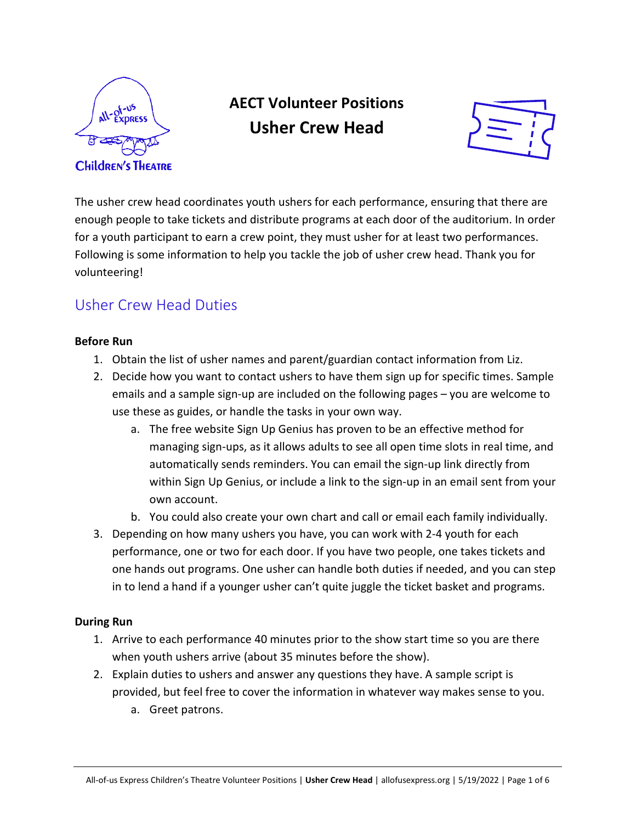

# **AECT Volunteer Positions Usher Crew Head**



The usher crew head coordinates youth ushers for each performance, ensuring that there are enough people to take tickets and distribute programs at each door of the auditorium. In order for a youth participant to earn a crew point, they must usher for at least two performances. Following is some information to help you tackle the job of usher crew head. Thank you for volunteering!

# Usher Crew Head Duties

## **Before Run**

- 1. Obtain the list of usher names and parent/guardian contact information from Liz.
- 2. Decide how you want to contact ushers to have them sign up for specific times. Sample emails and a sample sign-up are included on the following pages – you are welcome to use these as guides, or handle the tasks in your own way.
	- a. The free website Sign Up Genius has proven to be an effective method for managing sign-ups, as it allows adults to see all open time slots in real time, and automatically sends reminders. You can email the sign-up link directly from within Sign Up Genius, or include a link to the sign-up in an email sent from your own account.
	- b. You could also create your own chart and call or email each family individually.
- 3. Depending on how many ushers you have, you can work with 2-4 youth for each performance, one or two for each door. If you have two people, one takes tickets and one hands out programs. One usher can handle both duties if needed, and you can step in to lend a hand if a younger usher can't quite juggle the ticket basket and programs.

## **During Run**

- 1. Arrive to each performance 40 minutes prior to the show start time so you are there when youth ushers arrive (about 35 minutes before the show).
- 2. Explain duties to ushers and answer any questions they have. A sample script is provided, but feel free to cover the information in whatever way makes sense to you.
	- a. Greet patrons.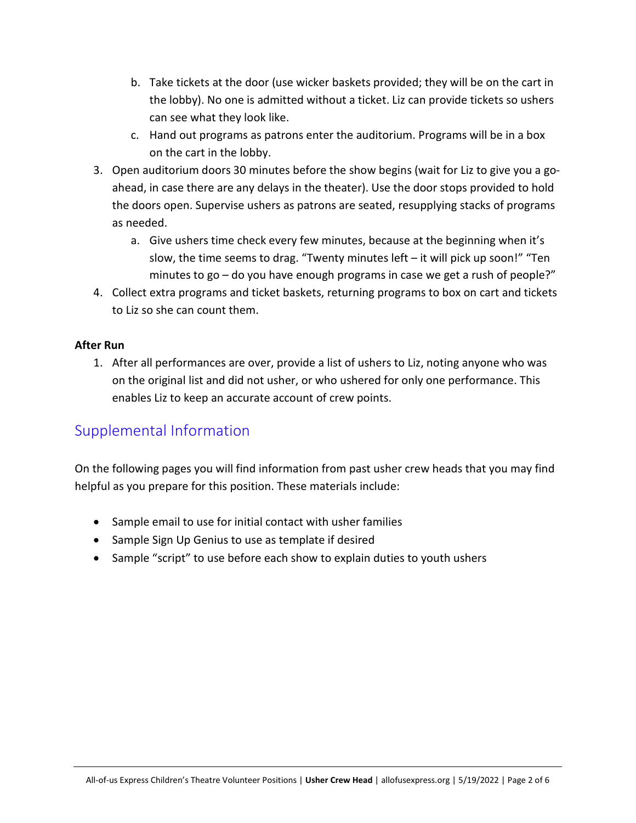- b. Take tickets at the door (use wicker baskets provided; they will be on the cart in the lobby). No one is admitted without a ticket. Liz can provide tickets so ushers can see what they look like.
- c. Hand out programs as patrons enter the auditorium. Programs will be in a box on the cart in the lobby.
- 3. Open auditorium doors 30 minutes before the show begins (wait for Liz to give you a goahead, in case there are any delays in the theater). Use the door stops provided to hold the doors open. Supervise ushers as patrons are seated, resupplying stacks of programs as needed.
	- a. Give ushers time check every few minutes, because at the beginning when it's slow, the time seems to drag. "Twenty minutes left – it will pick up soon!" "Ten minutes to go – do you have enough programs in case we get a rush of people?"
- 4. Collect extra programs and ticket baskets, returning programs to box on cart and tickets to Liz so she can count them.

## **After Run**

1. After all performances are over, provide a list of ushers to Liz, noting anyone who was on the original list and did not usher, or who ushered for only one performance. This enables Liz to keep an accurate account of crew points.

# Supplemental Information

On the following pages you will find information from past usher crew heads that you may find helpful as you prepare for this position. These materials include:

- Sample email to use for initial contact with usher families
- Sample Sign Up Genius to use as template if desired
- Sample "script" to use before each show to explain duties to youth ushers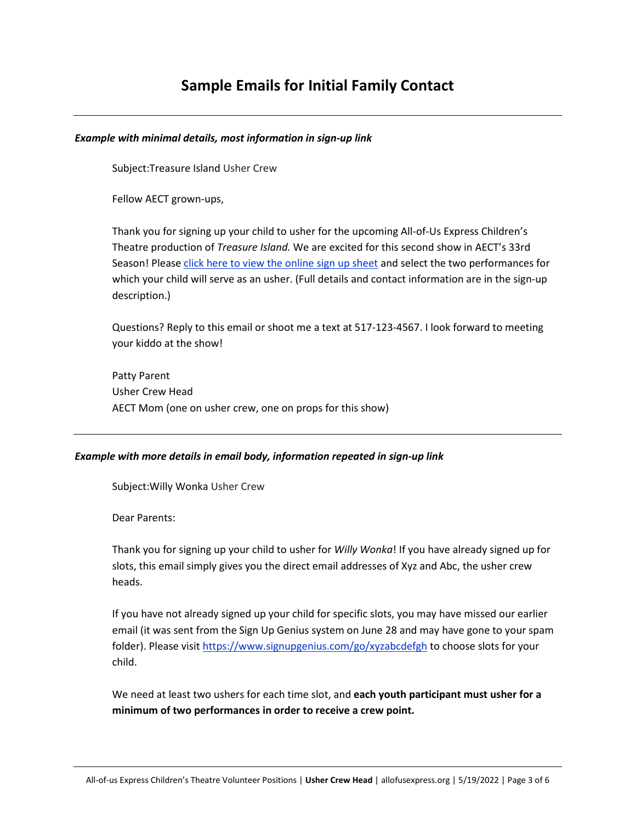# **Sample Emails for Initial Family Contact**

#### *Example with minimal details, most information in sign-up link*

Subject:Treasure Island Usher Crew

Fellow AECT grown-ups,

Thank you for signing up your child to usher for the upcoming All-of-Us Express Children's Theatre production of *Treasure Island.* We are excited for this second show in AECT's 33rd Season! Please click here to view the online sign up sheet and select the two performances for which your child will serve as an usher. (Full details and contact information are in the sign-up description.)

Questions? Reply to this email or shoot me a text at 517-123-4567. I look forward to meeting your kiddo at the show!

Patty Parent Usher Crew Head AECT Mom (one on usher crew, one on props for this show)

#### *Example with more details in email body, information repeated in sign-up link*

Subject:Willy Wonka Usher Crew

Dear Parents:

Thank you for signing up your child to usher for *Willy Wonka*! If you have already signed up for slots, this email simply gives you the direct email addresses of Xyz and Abc, the usher crew heads.

If you have not already signed up your child for specific slots, you may have missed our earlier email (it was sent from the Sign Up Genius system on June 28 and may have gone to your spam folder). Please visit https://www.signupgenius.com/go/xyzabcdefgh to choose slots for your child.

We need at least two ushers for each time slot, and **each youth participant must usher for a minimum of two performances in order to receive a crew point.**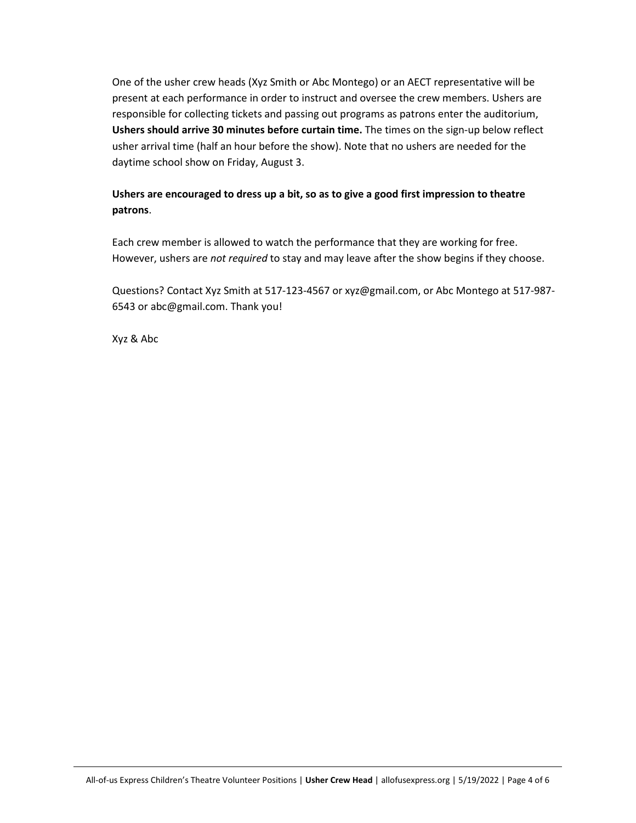One of the usher crew heads (Xyz Smith or Abc Montego) or an AECT representative will be present at each performance in order to instruct and oversee the crew members. Ushers are responsible for collecting tickets and passing out programs as patrons enter the auditorium, **Ushers should arrive 30 minutes before curtain time.** The times on the sign-up below reflect usher arrival time (half an hour before the show). Note that no ushers are needed for the daytime school show on Friday, August 3.

## **Ushers are encouraged to dress up a bit, so as to give a good first impression to theatre patrons**.

Each crew member is allowed to watch the performance that they are working for free. However, ushers are *not required* to stay and may leave after the show begins if they choose.

Questions? Contact Xyz Smith at 517-123-4567 or xyz@gmail.com, or Abc Montego at 517-987- 6543 or abc@gmail.com. Thank you!

Xyz & Abc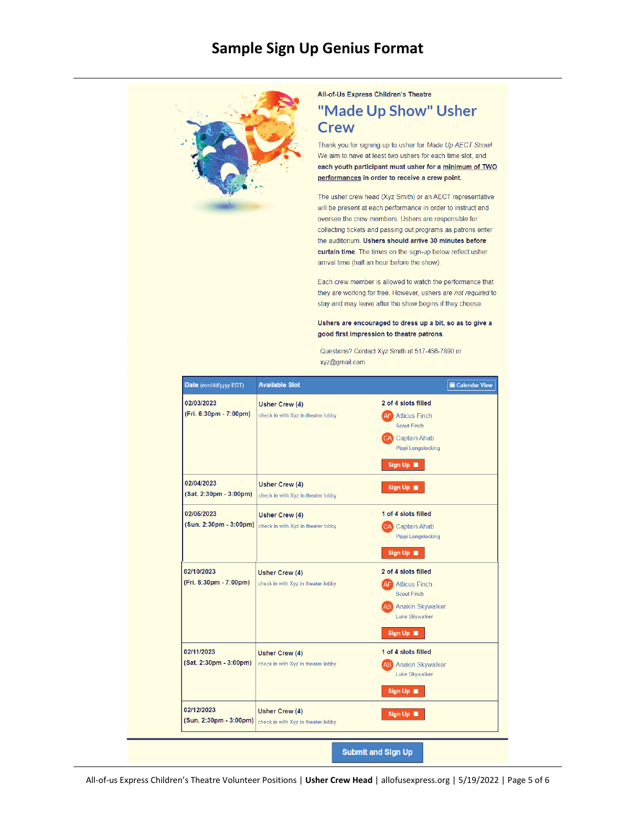## **Sample Sign Up Genius Format**



All-of-Us Express Children's Theatre

## "Made Up Show" Usher **Crew**

Thank you for signing up to usher for Made Up AECT Show! We aim to have at least two ushers for each time slot, and each youth participant must usher for a minimum of TWO performances in order to receive a crew point.

The usher crew head (Xyz Smith) or an AECT representative will be present at each performance in order to instruct and oversee the crew members. Ushers are responsible for collecting tickets and passing out programs as patrons enter the auditorium. Ushers should arrive 30 minutes before curtain time. The times on the sign-up below reflect usher arrival time (half an hour before the show).

Each crew member is allowed to watch the performance that they are working for free. However, ushers are not required to stay and may leave after the show begins if they choose.

Ushers are encouraged to dress up a bit, so as to give a good first impression to theatre patrons.

Questions? Contact Xyz Smith at 517-456-7890 or xyz@gmail.com.

| Date (mm/dd/yyyy EDT)                | <b>Available Slot</b>                                       | <b>■ Calendar View</b>                                                                                                                          |
|--------------------------------------|-------------------------------------------------------------|-------------------------------------------------------------------------------------------------------------------------------------------------|
| 02/03/2023<br>(Fri. 6:30pm - 7:00pm) | <b>Usher Crew (4)</b><br>check in with Xyz in theater lobby | 2 of 4 slots filled<br><b>Atticus Finch</b><br>AF)<br><b>Scout Finch</b><br><b>CA</b> Captain Ahab<br><b>Pippi Longstocking</b>                 |
| 02/04/2023<br>(Sat. 2:30pm - 3:00pm) | <b>Usher Crew (4)</b><br>check in with Xyz in theater lobby | Sign Up<br>Sign Up                                                                                                                              |
| 02/05/2023<br>(Sun. 2:30pm - 3:00pm) | Usher Crew (4)<br>check in with Xyz in theater lobby        | 1 of 4 slots filled<br><b>CA</b> Captain Ahab<br>Pippi Longstocking<br>Sign Up <b>III</b>                                                       |
| 02/10/2023<br>(Fri. 6:30pm - 7:00pm) | <b>Usher Crew (4)</b><br>check in with Xyz in theater lobby | 2 of 4 slots filled<br><b>Atticus Finch</b><br>AF '<br><b>Scout Finch</b><br><b>AS</b> Anakin Skywalker<br>Luke Skywalker<br>Sign Up <b>III</b> |
| 02/11/2023<br>(Sat. 2:30pm - 3:00pm) | <b>Usher Crew (4)</b><br>check in with Xyz in theater lobby | 1 of 4 slots filled<br><b>S</b> Anakin Skywalker<br><b>Luke Skywalker</b><br>Sign Up                                                            |
| 02/12/2023<br>(Sun. 2:30pm - 3:00pm) | <b>Usher Crew (4)</b><br>check in with Xyz in theater lobby | Sign Up ■                                                                                                                                       |